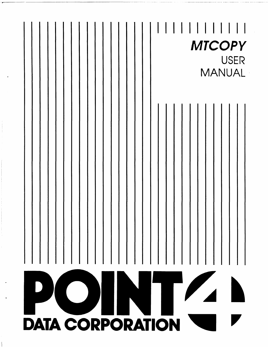

 $\mathbb{L}$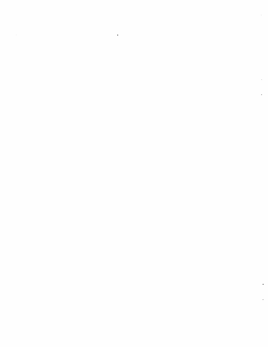$\bar{t}$  $\mathcal{L}^{\text{max}}_{\text{max}}$  $\mathcal{L}^{\pm}$ k,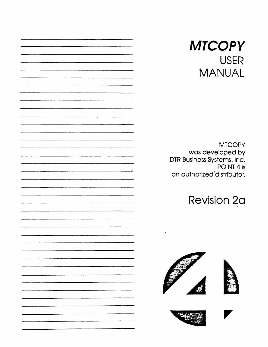# *MTCOPY*  USER MANUAL<sup>.</sup>

**MTCOPY** was developed by DTR Business Systems, Inc. POINT 4 is an authorized distributor.

# **Revision 20**





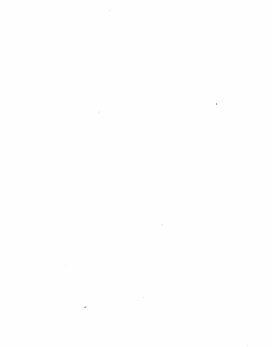$\sim 10^6$ 

 $\label{eq:2.1} \mathbf{A} = \mathbf{A} \mathbf{A} + \mathbf{A} \mathbf{A} + \mathbf{A} \mathbf{A} + \mathbf{A} \mathbf{A} + \mathbf{A} \mathbf{A} + \mathbf{A} \mathbf{A} + \mathbf{A} \mathbf{A} + \mathbf{A} \mathbf{A} + \mathbf{A} \mathbf{A} + \mathbf{A} \mathbf{A} + \mathbf{A} \mathbf{A} + \mathbf{A} \mathbf{A} + \mathbf{A} \mathbf{A} + \mathbf{A} \mathbf{A} + \mathbf{A} \mathbf{A} + \mathbf{A} \mathbf$  $\label{eq:2.1} \mathcal{L}(\mathcal{L}^{\text{max}}_{\mathcal{L}}(\mathcal{L}^{\text{max}}_{\mathcal{L}}(\mathcal{L}^{\text{max}}_{\mathcal{L}}(\mathcal{L}^{\text{max}}_{\mathcal{L}^{\text{max}}_{\mathcal{L}}})))))$ 

 $\label{eq:2.1} \mathcal{L}_{\mathcal{A}}(x) = \mathcal{L}_{\mathcal{A}}(x) + \mathcal{L}_{\mathcal{A}}(x) + \mathcal{L}_{\mathcal{A}}(x)$ 

 $\label{eq:2.1} \frac{1}{\sqrt{2\pi}}\int_{\mathbb{R}^3}\frac{1}{\sqrt{2\pi}}\int_{\mathbb{R}^3}\frac{1}{\sqrt{2\pi}}\int_{\mathbb{R}^3}\frac{1}{\sqrt{2\pi}}\int_{\mathbb{R}^3}\frac{1}{\sqrt{2\pi}}\int_{\mathbb{R}^3}\frac{1}{\sqrt{2\pi}}\int_{\mathbb{R}^3}\frac{1}{\sqrt{2\pi}}\int_{\mathbb{R}^3}\frac{1}{\sqrt{2\pi}}\int_{\mathbb{R}^3}\frac{1}{\sqrt{2\pi}}\int_{\mathbb{R}^3}\frac{1$  $\mathcal{L}^{\text{max}}_{\text{max}}$  and  $\mathcal{L}^{\text{max}}_{\text{max}}$ 

 $\mathcal{S}_{\mathcal{A}}$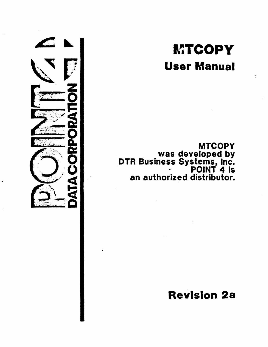

# **MTCOPY** User Manual

**MTCOPY** was developed by<br>DTR Business Systems, Inc. · POINT 4 Is an authorized distributor.

Revision 2a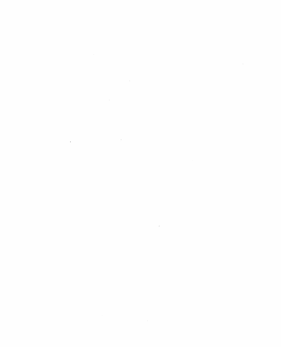$\label{eq:2.1} \frac{1}{\sqrt{2}}\int_{\mathbb{R}^3}\frac{1}{\sqrt{2}}\left(\frac{1}{\sqrt{2}}\right)^2\frac{1}{\sqrt{2}}\left(\frac{1}{\sqrt{2}}\right)^2\frac{1}{\sqrt{2}}\left(\frac{1}{\sqrt{2}}\right)^2\frac{1}{\sqrt{2}}\left(\frac{1}{\sqrt{2}}\right)^2\frac{1}{\sqrt{2}}\left(\frac{1}{\sqrt{2}}\right)^2\frac{1}{\sqrt{2}}\frac{1}{\sqrt{2}}\frac{1}{\sqrt{2}}\frac{1}{\sqrt{2}}\frac{1}{\sqrt{2}}\frac{1}{\sqrt{2}}$ 

 $\label{eq:2.1} \mathcal{L}(\mathcal{L}^{\text{max}}_{\mathcal{L}}(\mathcal{L}^{\text{max}}_{\mathcal{L}}))\leq \mathcal{L}(\mathcal{L}^{\text{max}}_{\mathcal{L}}(\mathcal{L}^{\text{max}}_{\mathcal{L}}))$ 

 $\label{eq:2.1} \frac{1}{\left\| \left( \frac{1}{\sqrt{2}} \right)^2 \right\|_{\mathcal{H}^1}^2} \leq \frac{1}{\sqrt{2}} \left( \frac{1}{\sqrt{2}} \right)^2 \left( \frac{1}{\sqrt{2}} \right)^2 \leq \frac{1}{\sqrt{2}} \left( \frac{1}{\sqrt{2}} \right)^2 \leq \frac{1}{\sqrt{2}} \left( \frac{1}{\sqrt{2}} \right)^2 \leq \frac{1}{\sqrt{2}} \left( \frac{1}{\sqrt{2}} \right)^2 \leq \frac{1}{\sqrt{2}} \left( \frac{1}{\sqrt{2}} \right)^2 \$ 

 $\mathcal{O}(\mathcal{F})$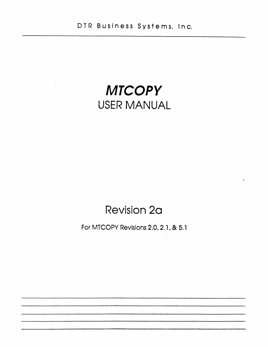# **MTCOPY USER MANUAL**

 $\mathbb{R}^2$ 

# **Revision 2a**

For MTCOPY Revisions 2.0, 2.1, & 5.1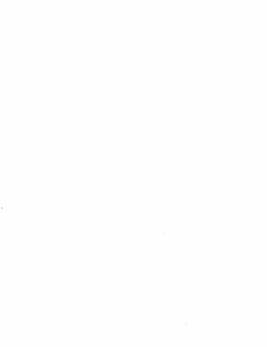$\label{eq:2.1} \mathcal{L}(\mathcal{L}(\mathcal{L})) = \mathcal{L}(\mathcal{L}(\mathcal{L})) = \mathcal{L}(\mathcal{L}(\mathcal{L})) = \mathcal{L}(\mathcal{L}(\mathcal{L}))$  $\label{eq:2.1} \mathcal{L}_{\mathcal{A}}(\mathcal{A}) = \mathcal{L}_{\mathcal{A}}(\mathcal{A}) \otimes \mathcal{L}_{\mathcal{A}}(\mathcal{A})$ 

 $\ddot{\phantom{0}}$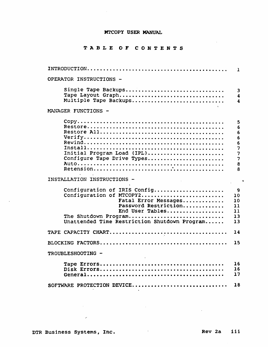# MTCOPY USER MANUAL

# TABLE OF CONTENTS

|                                                                                                                                                                                                     | ı                                              |
|-----------------------------------------------------------------------------------------------------------------------------------------------------------------------------------------------------|------------------------------------------------|
| OPERATOR INSTRUCTIONS -                                                                                                                                                                             |                                                |
| Single Tape Backups<br>Tape Layout Graph<br>Multiple Tape Backups                                                                                                                                   | 3<br>4<br>4                                    |
| MANAGER FUNCTIONS -                                                                                                                                                                                 |                                                |
| $\mathsf{Copy}\dots\dots\dots\dots\dots\dots\dots\dots\dots\dots\dots\dots\dots\dots$<br>Initial Program Load (IPL)<br>Configure Tape Drive Types                                                   | 5<br>6<br>6<br>6<br>6<br>7<br>7<br>7<br>8<br>8 |
| INSTALLATION INSTRUCTIONS -                                                                                                                                                                         | $\mathbf{z}$                                   |
| Configuration of IRIS Config<br>Configuration of MTCOPY2<br>Fatal Error Messages<br>Password Restriction<br>End User Tables<br>The Shutdown Program<br>Unattended Time Restriction Shutdown Program | 9<br>10<br>10<br>11<br>11<br>13<br>13          |
|                                                                                                                                                                                                     |                                                |
|                                                                                                                                                                                                     | 14                                             |
|                                                                                                                                                                                                     | 15                                             |
| TROUBLESHOOTING -                                                                                                                                                                                   |                                                |
|                                                                                                                                                                                                     | 16<br>16<br>17                                 |
| SOFTWARE PROTECTION DEVICE                                                                                                                                                                          | 18                                             |

 $\sim 10^{-10}$ 

 $\overline{\phantom{a}}$ 

 $\bar{\alpha}$ 

 $\sim 10^{-10}$ 

 $\sim 10^7$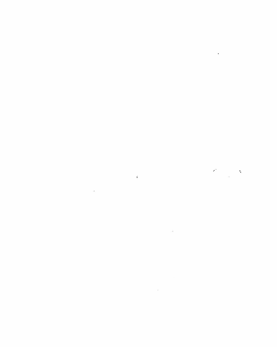$\label{eq:2.1} \frac{1}{\sqrt{2}}\left(\frac{1}{\sqrt{2}}\right)^{2} \left(\frac{1}{\sqrt{2}}\right)^{2} \left(\frac{1}{\sqrt{2}}\right)^{2} \left(\frac{1}{\sqrt{2}}\right)^{2} \left(\frac{1}{\sqrt{2}}\right)^{2} \left(\frac{1}{\sqrt{2}}\right)^{2} \left(\frac{1}{\sqrt{2}}\right)^{2} \left(\frac{1}{\sqrt{2}}\right)^{2} \left(\frac{1}{\sqrt{2}}\right)^{2} \left(\frac{1}{\sqrt{2}}\right)^{2} \left(\frac{1}{\sqrt{2}}\right)^{2} \left(\$ 

 $\label{eq:2.1} \frac{1}{\sqrt{2}}\int_{\mathbb{R}^3}\frac{1}{\sqrt{2}}\left(\frac{1}{\sqrt{2}}\right)^2\frac{1}{\sqrt{2}}\left(\frac{1}{\sqrt{2}}\right)^2\frac{1}{\sqrt{2}}\left(\frac{1}{\sqrt{2}}\right)^2\frac{1}{\sqrt{2}}\left(\frac{1}{\sqrt{2}}\right)^2\frac{1}{\sqrt{2}}\left(\frac{1}{\sqrt{2}}\right)^2\frac{1}{\sqrt{2}}\frac{1}{\sqrt{2}}\frac{1}{\sqrt{2}}\frac{1}{\sqrt{2}}\frac{1}{\sqrt{2}}\frac{1}{\sqrt{2}}$ 

 $\label{eq:2.1} \frac{1}{\sqrt{2}}\int_{\mathbb{R}^3}\frac{1}{\sqrt{2}}\left(\frac{1}{\sqrt{2}}\right)^2\frac{1}{\sqrt{2}}\left(\frac{1}{\sqrt{2}}\right)^2\frac{1}{\sqrt{2}}\left(\frac{1}{\sqrt{2}}\right)^2\frac{1}{\sqrt{2}}\left(\frac{1}{\sqrt{2}}\right)^2\frac{1}{\sqrt{2}}\left(\frac{1}{\sqrt{2}}\right)^2\frac{1}{\sqrt{2}}\frac{1}{\sqrt{2}}\frac{1}{\sqrt{2}}\frac{1}{\sqrt{2}}\frac{1}{\sqrt{2}}\frac{1}{\sqrt{2}}$ 

 $\label{eq:2.1} \mathcal{L}(\mathcal{L}^{\mathcal{L}}_{\mathcal{L}}(\mathcal{L}^{\mathcal{L}}_{\mathcal{L}})) = \mathcal{L}(\mathcal{L}^{\mathcal{L}}_{\mathcal{L}}(\mathcal{L}^{\mathcal{L}}_{\mathcal{L}})) = \mathcal{L}(\mathcal{L}^{\mathcal{L}}_{\mathcal{L}}(\mathcal{L}^{\mathcal{L}}_{\mathcal{L}}))$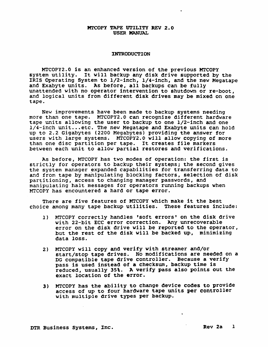#### MTCOPY TAPE UTILITY REV 2.0 USER MANUAL

#### :INTRODUCTION

MTCOPY2.0 is an enhanced version of the previous MTCOPY system utility. It will backup any disk drive supported by the IRIS Operating System to 1/2-inch, 1/4-inch, and the new Megatape and Exabyte units. As before, all backups can be fully unattended with no operator intervention to shutdown or re-boot, and logical units from different disk drives may be mixed on one tape.

New improvements have been made to backup systems needing more than one tape. MTCOPY2.0 can recognize different hardware tape units allowing the user to backup to one 1/2-inch and one 1/4-inch unit...etc. The new Megatape and Exabyte units can hold up to 2.2 Gigabytes (2200 Megabytes) providing the answer for users with large systems. MTCOPY2.0 will allow copying of more than one disc partition per tape. It creates file markers between each unit to allow partial restores and verifications.

As before, MTCOPY has two modes of operation: the first is strictly for operators to backup their systems; the second gives the system manager expanded capabilities for transferring data to and from tape by manipulating blocking factors, selection of disk partitioning, access to changing manager passwords, and manipulating halt messages for operators running backups when MTCOPY has encountered a hard or tape error.

There are five features of MTCOPY which make it the best choice among many tape backup utilities. These features include:

- 1) MTCOPY correctly handles 'soft errors' on the disk drive with 22-bit ECC error correction. Any unrecoverable error on the disk drive will be reported to the operator, but the rest of the disk will be backed up, minimizing data loss.
- 2) MTCOPY will copy and verify with streamer and/or start/stop tape drives. No modifications are needed on a DG compatible tape drive controller. Because a verify pass is used instead of a checksum, backup time is reduced, usually 35%. A verify pass also points out the exact location of the error.
- 3) MTCOPY has the ability to change device codes to provide access of up to four hardware tape units per controller with multiple drive types per backup.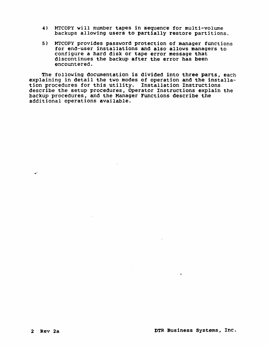- 4) MTCOPY will number tapes in sequence for multi-volume backups allowing users to partially restore partitions.
- 5) MTCOPY provides password protection of manager functions for end-user installations and also allows managers to configure a hard disk or tape error message that discontinues the backup after the error has been encountered.

The following documentation is divided into three parts, each explaining in detail the two modes of operation and the installation procedures for this utility. Installation Instructions describe the setup procedures, Operator Instructions explain the backup procedures, and the Manager Functions describe the additional operations available.

,.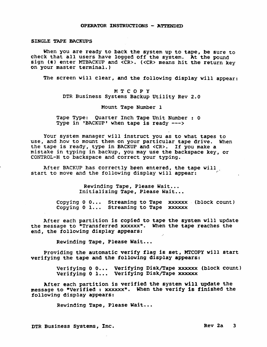#### SINGLE TAPE BACKUPS

When you are ready to back the system up to tape. be sure to check that all users have logged off the system. At the pound sign (#) enter MTBACKUP and <CR>. (<CR> means hit the return key on your master terminal.)

The screen will clear, and the following display will appear:

MTCOPY DTR Business Systems Backup Utility Rev 2.0

Mount Tape Number 1

Tape Type: Quarter Inch Tape Unit Number : 0 Type in 'BACKUP' when tape is ready --->

Your system manager will instruct you as to what tapes to use, and how to mount them on your particular tape drive. When the tape is ready, type in BACKUP and <CR>. If you make a mistake in typing in backup, you may use the backspace key, or CONTROL-H to backspace and correct your typing.

After BACKUP has correctly been entered, the tape will start to move and the following display will appear:

> Rewinding Tape, Please Wait... Initializing Tape, Please Wait...

Copying 0 0... Streaming to Tape xxxxxx (block count) Copying 0 1... Streaming to Tape XXXXXX

After each partition is copied to tape the system will update the message to "Transferred xxxxxx". When the tape reaches the end, the following display appears:

Rewinding Tape, Please Wait...

Providing the automatic verify flag is set, MTCOPY will start verifying the tape and the following display appears:

> Verifying 0 0... Verifying Disk/Tape xxxxxx (block count) Verifying 0 1... Verifying Disk/Tape xxxxxx

After each partition is verified the system will update the message to "Verified: xxxxxx". When the verify 1s finished the following display appears:

Rewinding Tape, Please Wait...

DTR Business Systems, Inc. The Contract of the Rev 2a 3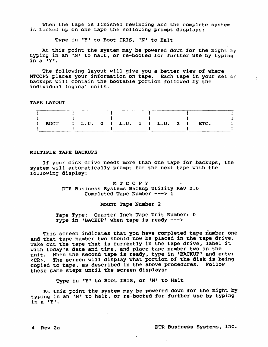When the tape is finished rewinding and the complete system is backed up on one tape the following prompt displays:

Type in 'Y' to Boot IRIS, 'N' to Halt

At this point the system may be powered down for the night by typing in an 'N' to halt, or re-booted for further use by typing in a 'Y'.

The following layout will give you a better view of where MTCOPY places your information on tape. Each tape in your set of backups will contain the bootable portion followed by the individual logical units.

TAPE LAYOUT

| BOOT ! L.U. 0 ! L.U. 1 ! L.U. 2 ! ETC. |  |  |  |  |  |  |
|----------------------------------------|--|--|--|--|--|--|
|                                        |  |  |  |  |  |  |

### MULTIPLE TAPE BACKUPS

If your disk drive needs more than one tape for backups, the system will automatically prompt for the next tape with the following display:

> MTCOPY DTR Business Systems Backup Utility Rev 2.0 Completed Tape Number ---> <sup>1</sup>

#### Mount Tape Number 2

Tape Type: Ouarter Inch Tape Unit Number: 0 Type in 'BACKUP' when tape is ready --->

This screen indicates that you have completed tape number one and that tape number two should now be placed in the tape drive. Take out the tape that is currently in the tape drive, label it with today's date and time, and place tape number two in the unit. When the second tape is ready, type in 'BACKUP' and enter <CR>. The screen will display what portion of the disk is being copied to tape, as described in the above procedures. Follow these same steps until the screen displays:

Type in 'Y' to Boot IRIS, or 'N' to Halt

At this point the system may be powered down for the night by typing in an 'N' to halt, or re-booted for further use by typing in a 'Y'.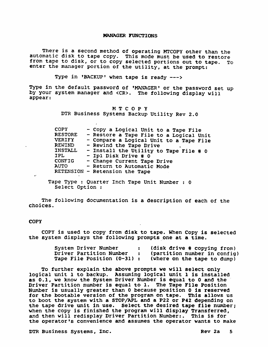#### MANAGER FUNCTIONS

There is a second method of operating MTCOPY other than the automatic disk to tape copy. This mode must be used to restore<br>from tape to disk, or to copy selected portions out to tape. To from tape to disk, or to copy selected portions out to tape. enter the manager portion of the utility, at the prompt:

Type in 'BACKUP' when tape is ready --->

Type in the default password of 'MANAGER' or the password set up by your system manager and <CR>. The following display will appear:

> MTCOPY DTR Business Systems Backup Utility Rev 2.0

| <b>COPY</b><br><b>RESTORE</b> | - Copy a Logical Unit to a Tape File<br>- Restore a Tape File to a Logical Unit |
|-------------------------------|---------------------------------------------------------------------------------|
| <b>VERIFY</b>                 | - Compare a Logical Unit to a Tape File                                         |
| REWIND                        | - Rewind the Tape Drive                                                         |
| <b>INSTALL</b>                | - Install the Utility to Tape File # 0                                          |
| <b>IPL</b>                    | - Ipl Disk Drive # 0                                                            |
| <b>CONFIG</b>                 | - Change Current Tape Drive                                                     |
| <b>AUTO</b>                   | - Return to Automatic Mode                                                      |
|                               | RETENSION - Retension the Tape                                                  |

Tape Type : Quarter Inch Tape Unit Number : 0 Select Option :

The following documentation is a description of each of the choices.

### **COPY**

 $\bullet$ 

COPY is used to copy from disk to tape. When Copy is selected the system displays the following prompts one at a time.

| System Driver Number        | (disk drive # copying from)  |
|-----------------------------|------------------------------|
| Driver Partition Number     | (partition number in config) |
| Tape File Position (0-31) : | (where on the tape to dump)  |

To further explain the above prompts we will select only logical unit 1 to backup. Assuming logical unit 1 is installed as 0.1, we know the System Driver Number is equal to 0 and the· Driver Partition number is equal to 1. The Tape File Position Number is usually greater than 0 because position 0 is reserved for the bootable version of the program on tape. This allows us to boot the system with a STOP/APL and a P22 or P42 depending on the tape drive unit in use. Select the desired tape file number; vhen the copy is finished the program will display Transferred, and then will redisplay Driver Partition Number:. This is for the operator's convenience and assumes the operator wants to make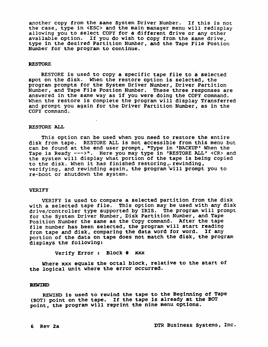another copy from the same System Driver Number. If this is not the case, type in <ESC> and the main manager menu will redisplay allowing you to select COPY for a different drive or any other available option. If you do wish to copy from the same drive, type in the desired Partition Number, and the Tape File Postion Number for the program to continue.

#### RESTORE

RESTORE is used to copy a specific tape file to a selected spot on the disk. When the restore option is selected, the program prompts for the System Driver Number, Driver Partition Number, and Tape File Postion Number. These three responses are answered in the same way as if you were doing the COpy command. When the restore is complete the program will display Transferred and prompt you again for the Driver Partition Number, as in the COpy command.

#### RESTORE ALL

This option can be used when you need to restore the entire disk from tape. RESTORE ALL is not accessible from this menu but can be found at the end user prompt, "Type in 'BACKUP' When the Tape is Ready --->". Here you may type in 'RESTORE ALL' <CR> and the system will display what portion of the tape is being copied to the disk. When it has finished restoring,. rewinding, verifying, and rewinding again, the program will prompt you to re-boot or shutdown the system.

#### VERIFY

VERIFY is used to compare a selected partition from the disk with a selected tape file. This option may be used with any disk drive/controller type supported by IRIS. The program will prompt for the System Driver Number, Disk Partition Number, and Tape Position Number the same as the Copy command. After the tape file number has been selected, the program will start reading<br>from tape and disk, comparing the data word for word. If any portion of the data on tape does not match the disk, the program displays the following:

Verify Error: Block # XXX

Where xxx equals the octal block, relative to the start of the logical unit where the error occurred.

#### **REWIND**

REWIND is used to rewind the tape to the Beginning of Tape (BOT) point on the tape. If the tape 1s already at the BOT point, the program will reprint the nine menu options.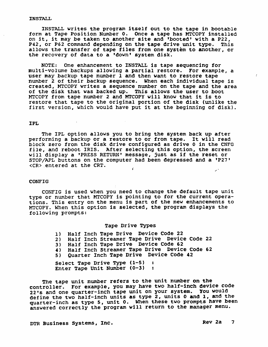#### **INSTALL**

INSTALL writes the program itself out to the tape in bootable form at Tape Position Number O. Once a tape has MTCOPY installed on it, it may be taken to another site and 'booted' with a P22,<br>P42. or P62 command depending on the tape drive unit type. This P42, or P62 command depending on the tape drive unit type. allows the transfer of tape files from one system to another, or the recovery of data to a 'down' system disk.

NOTE: One enhancement to INSTALL is tape sequencing for multi-volume backups allowing a partial restore. For example, a user may backup tape number 1 and then want to restore tape number 2 of their backup sequence. When each individual tape is created, MTCOPY writes a sequence number on the tape and the area of the disk that was backed up. This allows the user to boot MTCOPY from tape number 2 and MTCOPY will know that it is to restore that tape to the original portion of the disk (unlike the first version, which would have put it at the beginning of disk).

#### iPL

The IPL option allows you to bring the system back up after performing a backup or a restore to or from tape. It will read block zero from the disk drive configured as drive 0 in the CNFG file, and reboot IRIS. After selecting this option, the screen will display a 'PRESS RETURN' message, just as if the reset or STOP/APL buttons on the computer had been depressed and a 'P27' <CR> .entered at the CRT.

#### CONFIG

CONFIG is used when you need to change the default tape unit type or number that MTCOPY is pointing to for the current operations. This entry on the menu is part of the new enhancements to MTCOPY. When this option is selected, the program displays the following prompts:

#### Tape Drive Types

1) Half Inch Tape Drive Device Code 22 2) Half Inch Streamer Tape Drive Device Code 22 3) Half Inch Tape Drive Device Code 62 4) Half Inch Streamer Tape Drive Device Code 62 5) Quarter Inch Tape Drive Device Code 42 Select Tape Drive Type (1-5) Enter Tape Unit Number (0-3) :

The tape unit number refers to the unit number on the controller. For example, you may have two half-inch device code 22's and one quarter-inch tape unit on your system. You would define the two half-inch units as type 2, units 0 and 1, and the quarter-inch as type 5, unit 0. When these two prompts have been answered correctly the program will return to the manager menu.

 $\mathcal{A}^{\mathcal{A}}$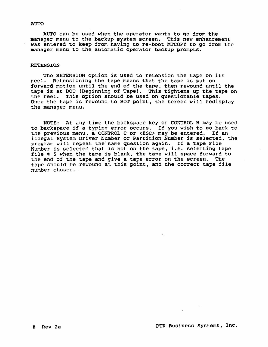#### AUTO

AUTO can be used when the operator wants to go from the manager menu to the backup system screen. This new enhancement was entered to keep from having to re-boot MTCOPY to go from the manager menu to the automatic operator backup prompts.

#### **RETENSION**

The RETENSION option is used to retension the tape on its reel. Retensioning the tape means that the tape is put on forward motion until the end of the tape, then rewound until the tape is at BOT (Beginning of Tape). This tightens up the tape on the reel. This option should be used on questionable tapes. Once the tape is rewound to BOT point, the screen will redisplay the manager menu.

NOTE: At any time the backspace key or CONTROL H may be used to backspace if a typing error occurs. If you wish to go back to the previous menu, a CONTROL C or <ESC> may be entered. If an illegal System Driver Number or Partition Number is selected, the program will repeat the same question again. If a Tape File Number is selected that is not on the tape, i.e. selecting tape file # 5 when the tape is blank, the tape will space forward to the end of the tape and give a tape error on the screen. The tape should be rewound at this point, and the correct tape file nwnber chosen. .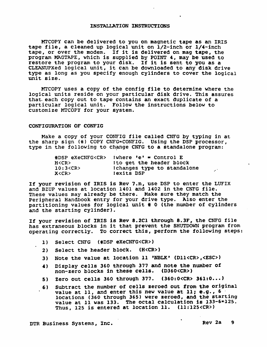#### INSTALLATION INSTRUCTIONS

MTCOPY can be delivered to you on magnetic tape as an IRIS tape file, a cleaned up logical unit on l/2-inch or 1/4-inch tape rile, a cleaned up logical unit on 1/2-inch or 1/4-inch<br>tape, or over the modem. If it is delivered on mag tape, the program MAGTAPE, which is supplied by POINT 4, may be used to program maginer, which is supplied by POINT 4, may be used to<br>restore the program to your disk. If it is sent to you as a restore the program to your disk. If it is sent to you as a<br>CLEANUPXed logical unit, it can be downloaded to any disk drive type as long as you specify enough cylinders to cover the logical unit size.

MTCOPY uses a copy of the config file to determine where the logical units reside on your particular disk drive. This assures that. each copy out to tape contains an exact duplicate of a particular logical unit. Follow the instructions below to customize MTCOPY for your system.

### CONFIGURATION OF CONFIG

Make a copy of your CONFIG file called CNFG by typing in at the sharp sign (#) COpy CNFG=CONFIG. Using the DSP processor, type in the following to change CNFG to a standalone program:

|             | #DSP eXeCNFG <cr> !where 'e' = Control E</cr> |  |
|-------------|-----------------------------------------------|--|
| $H<$ CR $>$ | Ito get the header block                      |  |
| 10:3 < CR   | Ichanges type to standalone                   |  |
| X <cr></cr> | lexits DSP                                    |  |

If your revision of IRIS 1s Rev 7.n, use DSP to enter the LUFIX and BZUP values at location 1401 and 1402 in the CNFG file. These values may already be there. Make sure they match the Peripheral Handbook entry for your drive type. Also enter the partitioning values for logical unit  $#0$  (the number of cylinders and the starting cylinder).

If your revision of IRIS is Rev 8.2Cl through 8.3F, the CNFG file has extraneous blocks in it that prevent the SHUTDOWN program from operating correctly. To correct this, perform the following steps:

- 1) Select CNFG (#DSP eXeCNFG<CR»
- 2) Select the header block. (H<CR»
- 3) Note the value at location 11 'NBLK' (Dll<CR>,<ESC»
- 4) Display cells 360 through 377 and note the number of non-zero blocks in these cellS. (D360<CR»
- 5) Zero out cells 360 through 377. (360:0<CR> 361:0...)
- 6) Subtract the number of cells zeroed out from the original value at 11, and enter this new value at 11; e.g., 6<br>locations (360 through 365) were zeroed, and the starting value at 11 was 133. The octal calculation is 133-6=125. Thus, 125 is entered at location 11.  $(11:125 < C>R$ )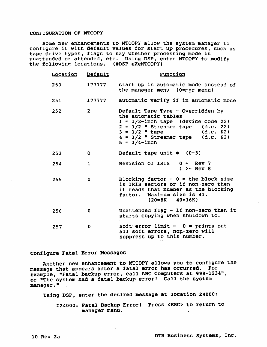#### CONFIGURATION OF MTCOPY

Some new enhancements to MTCOPY allow the system manager to configure it with default values for start up procedures, such as tape drive types, flags to say whether processing mode is unattended or attended, etc. Using DSP, enter MTCOPY to modify the following locations. (#DSP eXeMTCOPY)

| Location Default |                | Function                                                                                                                                                                                                                          |
|------------------|----------------|-----------------------------------------------------------------------------------------------------------------------------------------------------------------------------------------------------------------------------------|
| 250              | 177777         | start up in automatic mode instead of<br>the manager menu $(0 = mgr$ menu)                                                                                                                                                        |
| 251              |                | 177777 automatic verify if in automatic mode                                                                                                                                                                                      |
| 252              | $\overline{2}$ | Default Tape Type - Overridden by<br>the automatic tables<br>$1 = 1/2$ -inch tape (device code 22)<br>$2 = 1/2$ " Streamer tape (d.c. 22)<br>$3 = 1/2$ " tape (d.c. 62)<br>$4 = 1/2$ " Streamer tape (d.c. 62)<br>$5 = 1/4$ -inch |
| 253              | $\mathbf 0$    | Default tape unit $#$ (0-3)                                                                                                                                                                                                       |
| 254              | $\mathbf{1}$   | Revision of IRIS $0 = Rev 7$<br>$1 > E$ Rev 8                                                                                                                                                                                     |
| 255              | $\mathbf 0$    | Blocking factor - $0$ = the block size<br>is IRIS sectors or if non-zero then<br>it reads that number as the blocking<br>factor. Maximum size is 41.<br>$(20=8K$ $40=16K)$                                                        |
| 256              | $\mathbf 0$    | Unattended flag - If non-zero then it<br>starts copying when shutdown to.                                                                                                                                                         |
| 257              | 0              | Soft error limit - $0 =$ prints out<br>all soft errors, non-zero will<br>suppress up to this number.                                                                                                                              |

#### Configure Fatal Error Messages

Another new enhancement to MTCOPY allows you to configure the message that appears after a fatal error has occurred. For example, "Fatal backup error, call ABC Computers at 999-1234", or "The system had a fatal backup error! Call the system manager."

Using DSP, enter the desired message at location 24000:

124000: Fatal Backup Error! Press <ESC> to return to manager menu.  $\ddotsc$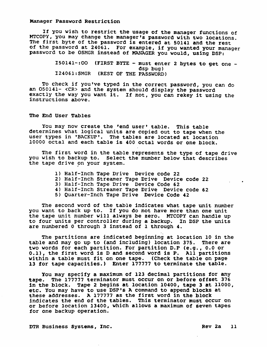#### Manager Password Restriction

If you wish to restrict the usage of the manager functions of MTCOPY, you may change the manager's password with two locations. The first byte of the password is entered at 50141 and the rest of the password at 24061. For example, if you wanted your manager password to be OSMGR instead of MANAGER you would, using DSP:

150141-:00 (FIRST BYTE - must enter 2 bytes to get one -<br>dsp bug)<br>124061:SMGR (REST OF THE PASSWORD)

To check if you've typed in the correct password, you can do an 050141- <CR> and the system should display the password exactly the way you want it. If not, you can rekey it using the instructions above.

#### The End User Tables

You may now create the 'end user' table. This table determines what logical units are copied out to tape when the user types in 'BACKUP'. The tables are located at location 10000 octal and each table is 400 octal words or one block.

The first word in the table represents the type of tape drive you wish to backup to. Select the number below that describes the tape drive on your system.

- 1) Half-Inch Tape Drive Device code 22
- 2) Half-Inch Streamer Tape Drive Device code 22
- 3) Half-Inch Tape Drive Device Code 62
- 4) Half-Inch Streamer Tape Drive Device code 62
- 5) Quarter-Inch Tape Drive Device Code 42

The second word of the table indicates what tape unit number you want to back up to. If you do not have more than one unit the tape unit number will always be zero. MTCOPY can handle up to four units per *controller* during a backup. In DSP the units are numbered 0 through 3 instead of 1 through 4.

The partitions are indicated beginning at location 10 in the table and may go up to (and including) location 375. There are two words for each partition. For partition D.P (e.g., 0.0 or 0.1), the first word is D and second word is P. All partitions within a table must fit on one tape. (Check the table on page 13 for tape capacities.) Enter 177777 to terminate the table.

You may specify a maximum of 123 decimal partitions for any tape. The 177777 terminator must occur on or before offset 376 in the block. Tape 2 begins at location 10400, tape 3 at 11000, etc. You may have to use DSP's A command to append blocks at these addresses. A 177777 as the first word in the block indicates the end of the tables. This terminator must occur on or before location 13400, which allows a maximum of seven tapes for one backup operation.

DTR Business Systems, Inc. The Contract of the Rev 2a 11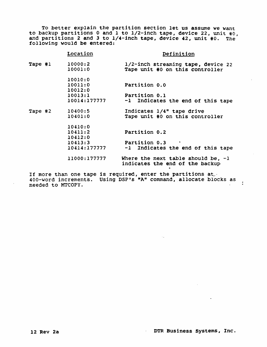To better explain the partition section let us assume we want to backup partitions 0 and 1 to l/2-inch tape, device 22, unit #0, and partitions 2 and 3 to 1/4-inch tape, device 42, unit #0. The following would be entered:

|         | Location                           | Definition                                                              |
|---------|------------------------------------|-------------------------------------------------------------------------|
| Tape #1 | 10000:2<br>10001:0                 | 1/2-inch streaming tape, device 22<br>Tape unit #0 on this controller   |
|         | 10010:0<br>10011:0                 | Partition 0.0                                                           |
|         | 10012:0<br>10013:1                 |                                                                         |
|         | 10014:177777                       | <b>Partition 0.1</b><br>-1 Indicates the end of this tape               |
| Tape #2 | 10400:5<br>10401:0                 | Indicates 1/4" tape drive<br>Tape unit #0 on this controller            |
|         | 10410:0<br>10411:2                 | Partition 0.2                                                           |
|         | 10412:0<br>10413:3<br>10414:177777 | Partition 0.3<br>-1 Indicates the end of this tape                      |
|         | 11000:177777                       | Where the next table should be, $-1$<br>indicates the end of the backup |

If more than one tape is required, enter the partitions at ... 400-word increments. Using DSP's "A" command, allocate blocks as needed to MTCOPY.

 $\sim 10$ 

 $\ddot{\phantom{a}}$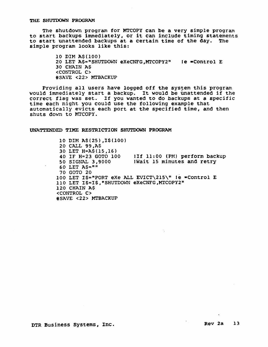#### THE SHUTDOWN PROGRAM

The shutdown program for MTCOPY can be a very simple program to start backups immediately, or it can include timing statements to start unattended backups at a certain time of the day. The simple program looks like this:

> 10 DIM A\$(lOO) 20 LET A\$="SHUTDOWN eXeCNFG, MTCOPY2" le =Control E 30 CHAIN A\$ <CONTROL C> tSAVE <22> MTBACKUP

Providing all users have logged off the system this program would immediately start a backup. It would be unattended if the correct flag was set. If you wanted to do backups at a specific time each night you could use the following example that automatically evicts each port at the specified time, and then shuts down to MTCOPY.

UNATTENDED TIME RESTRICTION SHUTDOWN PROGRAM

10 DIM A\$(25),I\$(100) 20 CALL 99,A\$ 30 LET H=A\$(15,16) 40 IF H=23 GOTO 100 50 SIGNAL 3,9000  $60$  LET  $A$ \$="" IIf 11:00 (PM) perform backup IWait 15 minutes and retry 70 GOTO 20<br>100 LET I\$="PORT eXe ALL EVICT\215\" Ie =Control E 110 LET I\$=I\$,"SHUTDOWN eXeCNFG,MTCOPY2" 120 CHAIN A\$ <CONTROL C> #SAVE <22> MTBACKUP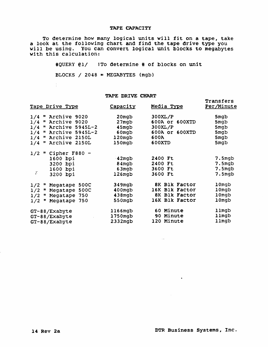#### TAPE CAPACITY

To determine how many logical units will fit on a tape, take a look at the following chart and find the tape drive type you will be using. You can convert logical unit blocks to megabytes with this calculation:

#QUERY @1/ ITo determine # of blocks on unit

BLOCKS /  $2048$  = MEGABYTES (mgb)

 $\mathbb{Z}^+$ 

## TAPE DRIVE CHART

| Tape Drive Type                                                                                                                                            | Capacity                                                                     | Media Type                                                                     | Transfers<br>Per/Minute                       |
|------------------------------------------------------------------------------------------------------------------------------------------------------------|------------------------------------------------------------------------------|--------------------------------------------------------------------------------|-----------------------------------------------|
| " Archive 9020<br>1/4<br>" Archive 9020<br>1/4<br>" Archive 5945L-2<br>1/4<br>" Archive 5945L-2<br>1/4<br>" Archive 2150L<br>1/4<br>" Archive 2150L<br>1/4 | $20$ mg $b$<br>27mgb<br>$45$ mg $b$<br>60mgb<br>$120$ mg $b$<br>$150$ mg $b$ | $300$ XL/P<br>600A or 600XTD<br>$300$ XL/P<br>600A or 600XTD<br>600A<br>600XTD | 5mgb<br>5mgb<br>5mgb<br>5mgb<br>5mgb<br>5mgb  |
| 1/2<br>Cipher $F880 -$<br>n<br>1600 bpi<br>3200 bpi<br>1600 bpi<br>$\mathcal{L}$<br>3200 bpi                                                               | $-42$ mgb<br>$84$ mgb<br>$63$ mg $b$<br>$126$ mg $b$                         | 2400 Ft<br>2400 Ft<br>3600 Ft<br>3600 Ft                                       | $7.5$ mg $b$<br>7.5mgb<br>$7.5$ mgb<br>7.5mgb |
| 500C<br>" Megatape<br>1/2<br>500C<br>" Megatape<br>1/2<br>750<br>" Megatape<br>1/2<br>750<br>Megatape<br>1/2                                               | 349mgb<br>$400$ mgb<br>$438$ mg $b$<br>$550$ mg $b$                          | 8K Blk Factor<br>16K Blk Factor<br>8K Blk Factor<br>16K Blk Factor             | 10mgb<br>10mgb<br>10mgb<br>10mgb              |
| GT-88/Exabyte<br>GT-88/Exabyte<br>GT-88/Exabyte                                                                                                            | 1166mgb<br>1750mgb<br>2332mgb                                                | 60 Minute<br>90 Minute<br>120 Minute                                           | 11mgb<br>llmgb<br>llmgb                       |

 $\sim 0.4$  and  $\sim 0.1$ 

 $\sim 100$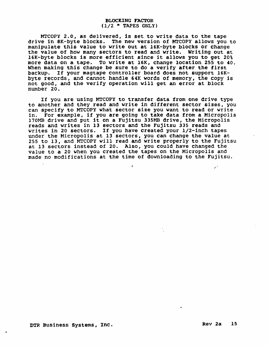#### BLOCKING FACTOR *(1/2* " TAPES ONLY)

MTCOPY 2.0, as delivered, is set to write data to the tape drive in 8K-byte blocks. The new version of MTCOPY allows you to manipulate this value to write out at 16K-byte blocks or change the value of how many sectors to read and write. Writing out at 16K-byte blocks is more efficient since it allows you to get 20% more data on a tape. To write at 16K, change location 255 to 40. When making this change be sure to do a verify after the first backup. If your magtape controller board Ooes not support 16Kbyte records, and cannot handle 64K words of memory, the copy is not good, and the verify operation will get an error at block number 20.

If you are using MTCOPY to transfer data from one drive type to another and they read and write in different sector sizes, you can specify to MTCOPY what sector size you want to read or write<br>in. For example, if you are going to take data from a Micropolis 170MB drive and put it on a Fujitsu 335MB drive, the Micropolis reads and writes in 13 sectors and the Fujitsu 335 reads and writes in 20 sectors. If you have created your 1/2-inch tapes under the Micropolis at 13 sectors, you can change the value at 255 to 13, and MTCOPY will read and write properly to the Fujitsu at 13 sectors instead of 20. AlSO, you could have changed the value to a 20 when you created the tapes on the Micropolis and made no modifications at the time of downloading to the Fujitsu.

 $\mathbf{c}$ 

 $\mathcal{L}^{\bullet}$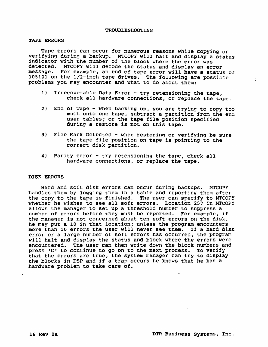#### TROUBLESHOOTING

#### TAPE ERRORS

Tape errors can occur for numerous reasons while copying or verifying during a backup. MTCOPY will halt and display a status indicator with the number of the block where the error was detected. MTCOPY will decode the status and display an error message. For example, an end of tape error will have a status of 105101 on the 1/2-inch tape drives. The following are possible problems you may encounter and what to do about them:

- 1) Irrecoverable Data Error try retensioning the tape, check all hardware connections, or replace the tape.
- 2) End of Tape when backing up, you are trying to copy too much onto one tape, subtract a partition from the end user tables; or the tape file position specified during a restore is not on this tape.
- 3) File Mark Detected when restoring or verifying be sure the tape file position on tape is pointing to the correct disk partition.
- 4) Parity error try retensioning the tape, check all hardware connections, or replace the tape.

#### DISK ERRORS

Hard and soft disk errors can occur during backups. MTCOPY handles them by logging them in a table and reporting them after the copy to the tape is finished. The user can specify to MTCOPY whether he wishes to see all soft errors. Location 257 in MTCOPY allows the manager to set up a threshold number to suppress a number of errors before they must be reported. For example, if the manager is not concerned about ten soft errors on the disk, he may put a 10 in that location; unless the program encounters more than 10 errors the user will never see them. If a hard disk error or a large number of soft errors has occurred, the program will halt and display the status and block where the errors were encountered. The user can then write down the block numbers and press 'C' to continue to go on to the next process. To verify that the errors are true, the system manager can try to display the blocks in DSP and if a trap occurs he knows that he has a hardware problem to take care of.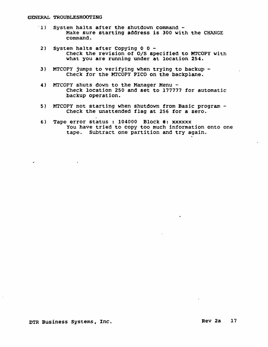#### GENERAL TROUBLESHOOTING

 $\bullet^{\star}$ 

- '1) System halts after the shutdown command Make sure starting address is 300 with the CHANGE command.
- 2) System halts after Copying 0 0 -<br>Check the revision of O/S specified to MTCOPY with what you are running under at location 254.
- 3) MTCOPY jumps to verifying when trying to backup Check for the MTCOPY PICD on the backplane.
- 4) MTCOPY shuts down to the Manager Menu -<br>Check location 250 and set to 177777 for automatic backup operation.
- S) MTCOPY not starting when shutdown from Basic program Check the unattended flag at 256 for a zero.
- 6) Tape error status: 104000 Block #: xxxxxx You have tried to copy too much information onto one tape. Subtract one partition and try again.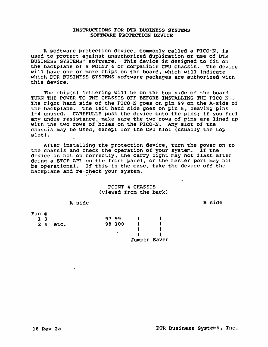#### INSTRUCTIONS FOR DTR BUSINESS SYSTEMS SOFTWARE PROTECTION DEVICE

A software protection device, commonly called a PICO-N, is used to protect against unauthorized duplication or use of DTR BUSINESS SYSTEMS' software. This device is designed to fit on the backplane of a POINT 4 or compatible CPU chassis. The device will have one or more Chips on the board, which will indicate which DTR BUSINESS SYSTEMS software packages are authorized with this device.

The chip(s) lettering will be on the top side of the board. TURN THE POWER TO THE CHASSIS OFF BEFORE INSTALLING THE PICO-N!. The right hand side of the PICO-N goes on pin 99 on the A-side of the backplane. The left hand side goes on pin 5, leaving pins 1-4 unused. CAREFULLY push the device onto the pins; if you feel any undue resistance, make sure the two rows of pins are lined up with the two rows of 'holes on the PICO-N. Any slot of the chassis may be used, except for the CPU slot (usually the top slot).

After installing the protection device, turn the power on to the chassis and check the operation of your system. If the device is not on correctly, the carry light may not flash after doing a STOP APL on the front panel, or the master port may not be operational. If this is the case, take the device off the backplane and re-check your system. .

## POINT 4 CHASSIS (Viewed from the back)

A side

B side

|                 |                |      |      |        | Jumper Saver |  |
|-----------------|----------------|------|------|--------|--------------|--|
|                 |                |      |      |        |              |  |
|                 |                |      |      |        |              |  |
| $2\overline{4}$ |                | etc. |      | 98 100 |              |  |
|                 | 1 <sup>3</sup> |      | 9799 |        |              |  |
| $Pin$ #         |                |      |      |        |              |  |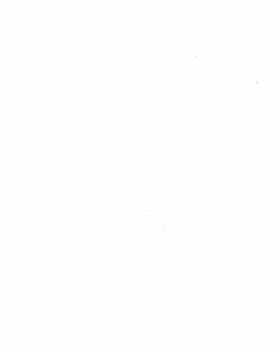$\mathcal{L}_{\mathcal{A}}$ 

 $\label{eq:2.1} \frac{1}{\sqrt{2}}\int_{\mathbb{R}^3}\frac{1}{\sqrt{2}}\left(\frac{1}{\sqrt{2}}\right)^2\frac{1}{\sqrt{2}}\left(\frac{1}{\sqrt{2}}\right)^2\frac{1}{\sqrt{2}}\left(\frac{1}{\sqrt{2}}\right)^2\frac{1}{\sqrt{2}}\left(\frac{1}{\sqrt{2}}\right)^2\frac{1}{\sqrt{2}}\left(\frac{1}{\sqrt{2}}\right)^2\frac{1}{\sqrt{2}}\frac{1}{\sqrt{2}}\frac{1}{\sqrt{2}}\frac{1}{\sqrt{2}}\frac{1}{\sqrt{2}}\frac{1}{\sqrt{2}}$ 

 $\mathcal{L}^{\text{max}}_{\text{max}}$  and  $\mathcal{L}^{\text{max}}_{\text{max}}$  $\label{eq:2.1} \mathcal{L}(\mathcal{L}^{\text{max}}_{\mathcal{L}}(\mathcal{L}^{\text{max}}_{\mathcal{L}}),\mathcal{L}^{\text{max}}_{\mathcal{L}}(\mathcal{L}^{\text{max}}_{\mathcal{L}}))$ 

 $\mathcal{L}^{\text{max}}_{\text{max}}$ 

 $\label{eq:2.1} \frac{1}{\sqrt{2}}\int_{0}^{\infty}\frac{1}{\sqrt{2\pi}}\left(\frac{1}{\sqrt{2\pi}}\right)^{2\alpha} \frac{1}{\sqrt{2\pi}}\int_{0}^{\infty}\frac{1}{\sqrt{2\pi}}\left(\frac{1}{\sqrt{2\pi}}\right)^{\alpha} \frac{1}{\sqrt{2\pi}}\frac{1}{\sqrt{2\pi}}\int_{0}^{\infty}\frac{1}{\sqrt{2\pi}}\frac{1}{\sqrt{2\pi}}\frac{1}{\sqrt{2\pi}}\frac{1}{\sqrt{2\pi}}\frac{1}{\sqrt{2\pi}}\frac{1}{\sqrt{2\pi}}$  $\mathcal{L}(\mathcal{L}^{\mathcal{L}})$  and  $\mathcal{L}^{\mathcal{L}}$  and  $\mathcal{L}^{\mathcal{L}}$ 

 $\mathcal{L}^{\text{max}}_{\text{max}}$  ,  $\mathcal{L}^{\text{max}}_{\text{max}}$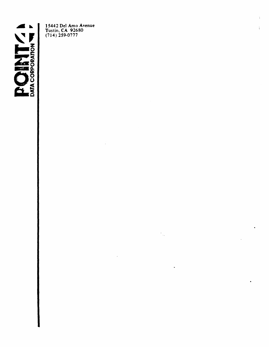

15442 Del Amo Avenue Tustin, CA 92680 (714) 259-0777

 $\frac{1}{2}$ 

t.

Ť